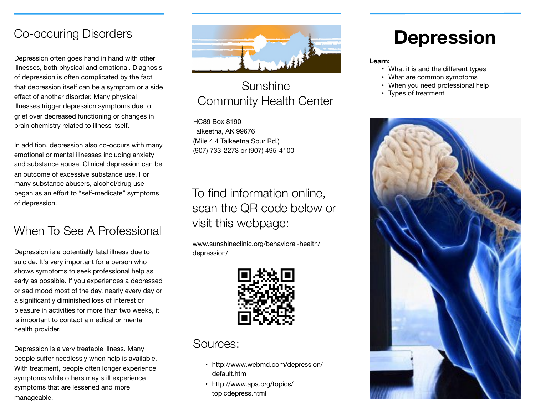#### Co-occuring Disorders

Depression often goes hand in hand with other illnesses, both physical and emotional. Diagnosis of depression is often complicated by the fact that depression itself can be a symptom or a side effect of another disorder. Many physical illnesses trigger depression symptoms due to grief over decreased functioning or changes in brain chemistry related to illness itself.

In addition, depression also co-occurs with many emotional or mental illnesses including anxiety and substance abuse. Clinical depression can be an outcome of excessive substance use. For many substance abusers, alcohol/drug use began as an effort to "self-medicate" symptoms of depression.

# When To See A Professional

Depression is a potentially fatal illness due to suicide. It's very important for a person who shows symptoms to seek professional help as early as possible. If you experiences a depressed or sad mood most of the day, nearly every day or a significantly diminished loss of interest or pleasure in activities for more than two weeks, it is important to contact a medical or mental health provider.

Depression is a very treatable illness. Many people suffer needlessly when help is available. With treatment, people often longer experience symptoms while others may still experience symptoms that are lessened and more manageable.



#### Sunshine Community Health Center

HC89 Box 8190 Talkeetna, AK 99676 (Mile 4.4 Talkeetna Spur Rd.) (907) 733-2273 or (907) 495-4100

## To find information online, scan the QR code below or visit this webpage:

www.sunshineclinic.org/behavioral-health/ depression/



#### Sources:

- http://www.webmd.com/depression/ default.htm
- http://www.apa.org/topics/ topicdepress.html

# **Depression**

#### **Learn:**

- What it is and the different types
- What are common symptoms
- When you need professional help
- Types of treatment